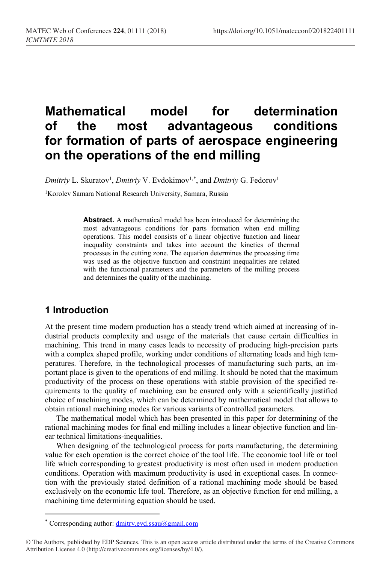# **Mathematical model for determination of the most advantageous conditions for formation of parts of aerospace engineering on the operations of the end milling**

*Dmitriy* L. Skuratov<sup>1</sup>, *Dmitriy* V. Evdokimov<sup>1,[\\*](#page-0-0)</sup>, and *Dmitriy* G. Fedorov<sup>1</sup>

<sup>1</sup>Korolev Samara National Research University, Samara, Russia

**Abstract.** A mathematical model has been introduced for determining the most advantageous conditions for parts formation when end milling operations. This model consists of a linear objective function and linear inequality constraints and takes into account the kinetics of thermal processes in the cutting zone. The equation determines the processing time was used as the objective function and constraint inequalities are related with the functional parameters and the parameters of the milling process and determines the quality of the machining.

# **1 Introduction**

 $\overline{\phantom{a}}$ 

At the present time modern production has a steady trend which aimed at increasing of industrial products complexity and usage of the materials that cause certain difficulties in machining. This trend in many cases leads to necessity of producing high-precision parts with a complex shaped profile, working under conditions of alternating loads and high temperatures. Therefore, in the technological processes of manufacturing such parts, an important place is given to the operations of end milling. It should be noted that the maximum productivity of the process on these operations with stable provision of the specified requirements to the quality of machining can be ensured only with a scientifically justified choice of machining modes, which can be determined by mathematical model that allows to obtain rational machining modes for various variants of controlled parameters.

The mathematical model which has been presented in this paper for determining of the rational machining modes for final end milling includes a linear objective function and linear technical limitations-inequalities.

When designing of the technological process for parts manufacturing, the determining value for each operation is the correct choice of the tool life. The economic tool life or tool life which corresponding to greatest productivity is most often used in modern production conditions. Operation with maximum productivity is used in exceptional cases. In connection with the previously stated definition of a rational machining mode should be based exclusively on the economic life tool. Therefore, as an objective function for end milling, a machining time determining equation should be used.

<sup>\*</sup> Corresponding author: dmitry.evd.ssau@gmail.com

<span id="page-0-0"></span><sup>©</sup> The Authors, published by EDP Sciences. This is an open access article distributed under the terms of the Creative Commons Attribution License 4.0 (http://creativecommons.org/licenses/by/4.0/).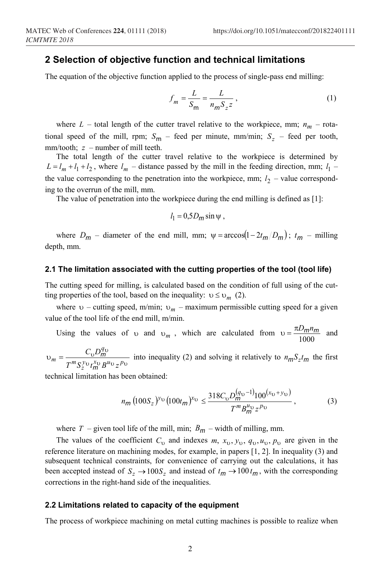## **2 Selection of objective function and technical limitations**

The equation of the objective function applied to the process of single-pass end milling:

$$
f_m = \frac{L}{S_m} = \frac{L}{n_m S_z z},\tag{1}
$$

where  $L$  – total length of the cutter travel relative to the workpiece, mm;  $n_m$  – rotational speed of the mill, rpm;  $S_m$  – feed per minute, mm/min;  $S_z$  – feed per tooth, mm/tooth; *z* – number of mill teeth.

The total length of the cutter travel relative to the workpiece is determined by  $L = l_m + l_1 + l_2$ , where  $l_m$  – distance passed by the mill in the feeding direction, mm;  $l_1$  – the value corresponding to the penetration into the workpiece, mm;  $l_2$  – value corresponding to the overrun of the mill, mm.

The value of penetration into the workpiece during the end milling is defined as [1]:

$$
l_1 = 0.5 D_m \sin \psi ,
$$

where  $D_m$  – diameter of the end mill, mm;  $\psi = \arccos(1 - 2t_m/D_m)$ ;  $t_m$  – milling depth, mm.

#### **2.1 The limitation associated with the cutting properties of the tool (tool life)**

The cutting speed for milling, is calculated based on the condition of full using of the cutting properties of the tool, based on the inequality:  $v \le v_m$  (2).

where  $v$  – cutting speed, m/min;  $v_m$  – maximum permissible cutting speed for a given value of the tool life of the end mill, m/min.

Using the values of v and  $v_m$ , which are calculated from  $v = \frac{\pi D_m n_m}{1000}$  and

 $v_m = \frac{C_{\rm v} D_m^{q_{\rm v}}}{T^m S_z^{y_{\rm v}} t_m^{x_{\rm v}} B^{u_{\rm v}} z^{p_{\rm v}}}$  $m = \frac{1}{T^m S_z^{y_0} t_m^{x_0} B^{u_0} z}$  $C_{\rm D}$ *D m*  $\frac{m}{n}$  into inequality (2) and solving it relatively to  $n_m S_z t_m$  the first

technical limitation has been obtained:

$$
n_m \left(100S_z\right)^{\nu_\text{U}} \left(100t_m\right)^{\nu_\text{U}} \le \frac{318C_\text{U}D_m^{(q_\text{U}-1)}100^{(x_\text{U}+y_\text{U})}}{T^m B_m^{\mu_\text{U}} z^{p_\text{U}}},\tag{3}
$$

where  $T$  – given tool life of the mill, min;  $B_m$  – width of milling, mm.

The values of the coefficient  $C_v$  and indexes  $m$ ,  $x_v$ ,  $y_v$ ,  $q_v$ ,  $u_v$ ,  $p_v$  are given in the reference literature on machining modes, for example, in papers [1, 2]. In inequality (3) and subsequent technical constraints, for convenience of carrying out the calculations, it has been accepted instead of  $S_z \rightarrow 100S_z$  and instead of  $t_m \rightarrow 100 t_m$ , with the corresponding corrections in the right-hand side of the inequalities.

#### **2.2 Limitations related to capacity of the equipment**

The process of workpiece machining on metal cutting machines is possible to realize when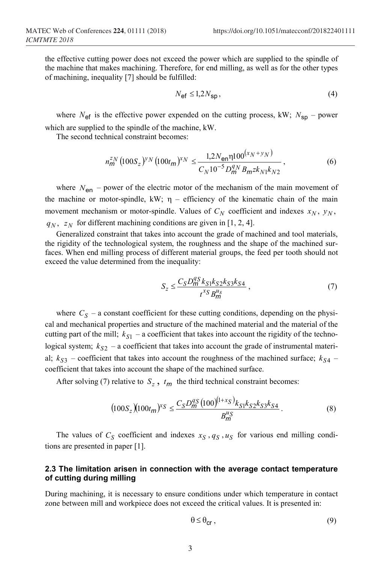the effective cutting power does not exceed the power which are supplied to the spindle of the machine that makes machining. Therefore, for end milling, as well as for the other types of machining, inequality [7] should be fulfilled:

$$
N_{\rm ef} \le 1.2 N_{\rm sp},\tag{4}
$$

where  $N_{\text{ef}}$  is the effective power expended on the cutting process, kW;  $N_{\text{sn}}$  – power which are supplied to the spindle of the machine, kW.

The second technical constraint becomes:

$$
n_m^{ZN} \left(100S_z\right)^{\gamma_N} \left(100t_m\right)^{x_N} \le \frac{1,2N_{\text{en}}\eta 100^{\left(x_N + y_N\right)}}{C_N 10^{-5} D_m^{q_N} B_m z k_{N1} k_{N2}},\tag{6}
$$

where  $N_{en}$  – power of the electric motor of the mechanism of the main movement of the machine or motor-spindle, kW;  $\eta$  – efficiency of the kinematic chain of the main movement mechanism or motor-spindle. Values of  $C_N$  coefficient and indexes  $x_N$ ,  $y_N$ ,  $q_N$ ,  $z_N$  for different machining conditions are given in [1, 2, 4].

Generalized constraint that takes into account the grade of machined and tool materials, the rigidity of the technological system, the roughness and the shape of the machined surfaces. When end milling process of different material groups, the feed per tooth should not exceed the value determined from the inequality:

$$
S_z \le \frac{C_S D_m^{qS} k_{S1} k_{S2} k_{S3} k_{S4}}{t^{x} S B_m^{u_s}},
$$
\n(7)

where  $C_S$  – a constant coefficient for these cutting conditions, depending on the physical and mechanical properties and structure of the machined material and the material of the cutting part of the mill;  $k_{S1}$  – a coefficient that takes into account the rigidity of the technological system;  $k_{S2}$  – a coefficient that takes into account the grade of instrumental material;  $k_{S3}$  – coefficient that takes into account the roughness of the machined surface;  $k_{S4}$  – coefficient that takes into account the shape of the machined surface.

After solving (7) relative to  $S_z$ ,  $t_m$  the third technical constraint becomes:

$$
(100S_z)(100t_m)^{x_S} \le \frac{C_S D_m^{qS} (100)^{(1+x_S)} k_{S1} k_{S2} k_{S3} k_{S4}}{B_m^{uS}}.
$$
\n(8)

The values of  $C_S$  coefficient and indexes  $x_S$ ,  $q_S$ ,  $u_S$  for various end milling conditions are presented in paper [1].

### **2.3 The limitation arisen in connection with the average contact temperature of cutting during milling**

During machining, it is necessary to ensure conditions under which temperature in contact zone between mill and workpiece does not exceed the critical values. It is presented in:

$$
\theta \leq \theta_{\text{cr}}\,,\tag{9}
$$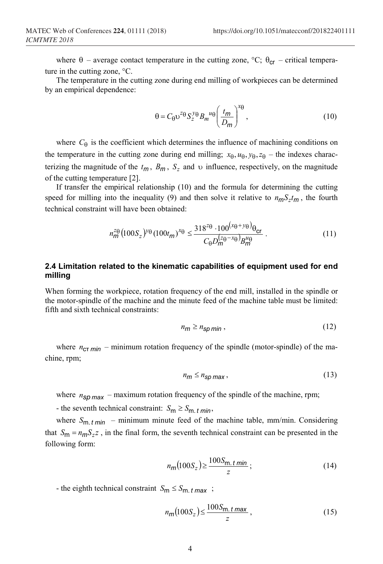where  $\theta$  – average contact temperature in the cutting zone, °C;  $\theta_{cr}$  – critical temperature in the cutting zone, °С.

The temperature in the cutting zone during end milling of workpieces can be determined by an empirical dependence:

$$
\theta = C_{\theta} v^{z_{\theta}} S_{z}^{y_{\theta}} B_{m}^{u_{\theta}} \left( \frac{t_{m}}{D_{m}} \right)^{x_{\theta}}, \qquad (10)
$$

where  $C_{\theta}$  is the coefficient which determines the influence of machining conditions on the temperature in the cutting zone during end milling;  $x_{\theta}$ ,  $u_{\theta}$ ,  $y_{\theta}$ ,  $z_{\theta}$  – the indexes characterizing the magnitude of the  $t_m$ ,  $B_m$ ,  $S_z$  and  $\upsilon$  influence, respectively, on the magnitude of the cutting temperature [2].

If transfer the empirical relationship (10) and the formula for determining the cutting speed for milling into the inequality (9) and then solve it relative to  $n_m S_z t_m$ , the fourth technical constraint will have been obtained:

$$
n_{\mathsf{m}}^{z_{\Theta}}(100S_z)^{\gamma_{\Theta}}(100t_{\mathsf{m}})^{x_{\Theta}} \leq \frac{318^{z_{\Theta}} \cdot 100^{(x_{\Theta} + \gamma_{\Theta})} \theta_{\mathsf{cr}}}{C_{\Theta} D_{\mathsf{m}}^{(z_{\Theta} - x_{\Theta})} B_{\mathsf{m}}^{u_{\Theta}}}.
$$
(11)

#### **2.4 Limitation related to the kinematic capabilities of equipment used for end milling**

When forming the workpiece, rotation frequency of the end mill, installed in the spindle or the motor-spindle of the machine and the minute feed of the machine table must be limited: fifth and sixth technical constraints:

$$
n_{\mathsf{m}} \ge n_{\mathsf{sp}\,\mathsf{min}}\,,\tag{12}
$$

where  $n_{CT,min}$  – minimum rotation frequency of the spindle (motor-spindle) of the machine, rpm;

$$
n_{\rm m} \le n_{\rm sp \, max} \,, \tag{13}
$$

where  $n_{SD,max}$  – maximum rotation frequency of the spindle of the machine, rpm;

- the seventh technical constraint:  $S_m \geq S_{m. t \text{ min}}$ ,

where  $S_{\rm m}$  *t*  $m$ *in* – minimum minute feed of the machine table, mm/min. Considering that  $S_m = n_m S_z z$ , in the final form, the seventh technical constraint can be presented in the following form:

$$
n_m\left(100S_z\right) \ge \frac{100S_{\text{m.}t\min}}{z};\tag{14}
$$

- the eighth technical constraint  $S_m \leq S_{m. t \, max}$ ;

$$
n_m(100S_z) \le \frac{100S_m \cdot t \max}{z},\tag{15}
$$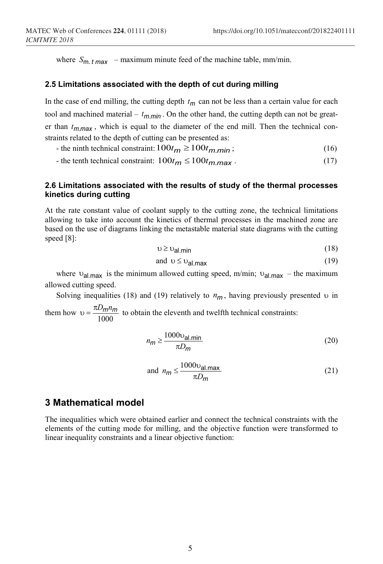where  $S_{m. t \, max}$  – maximum minute feed of the machine table, mm/min.

#### **2.5 Limitations associated with the depth of cut during milling**

In the case of end milling, the cutting depth  $t_m$  can not be less than a certain value for each tool and machined material –  $t_{m,min}$ . On the other hand, the cutting depth can not be greater than  $t_{m,max}$ , which is equal to the diameter of the end mill. Then the technical constraints related to the depth of cutting can be presented as:

- $-$  the ninth technical constraint:  $100t_m \ge 100t_m$  *min*; (16)
- $-$  the tenth technical constraint:  $100t_m \le 100t_m$  max  $\cdot$  (17)

## **2.6 Limitations associated with the results of study of the thermal processes kinetics during cutting**

At the rate constant value of coolant supply to the cutting zone, the technical limitations allowing to take into account the kinetics of thermal processes in the machined zone are based on the use of diagrams linking the metastable material state diagrams with the cutting speed [8]:

$$
v \ge v_{\text{al.min}} \tag{18}
$$

and 
$$
\upsilon \leq \upsilon_{\text{al.max}}
$$
 (19)

where  $v_{\text{al,max}}$  is the minimum allowed cutting speed, m/min;  $v_{\text{al,max}}$  – the maximum allowed cutting speed.

Solving inequalities (18) and (19) relatively to  $n_m$ , having previously presented  $\upsilon$  in

them how  $v = \frac{\pi D_m n_m}{1000}$  to obtain the eleventh and twelfth technical constraints:

$$
n_m \ge \frac{1000 \text{V}_{\text{al}} \cdot \text{min}}{\pi D_m} \tag{20}
$$

and 
$$
n_m \le \frac{1000 \text{v}_{\text{al.max}}}{\pi D_m}
$$
 (21)

## **3 Mathematical model**

The inequalities which were obtained earlier and connect the technical constraints with the elements of the cutting mode for milling, and the objective function were transformed to linear inequality constraints and a linear objective function: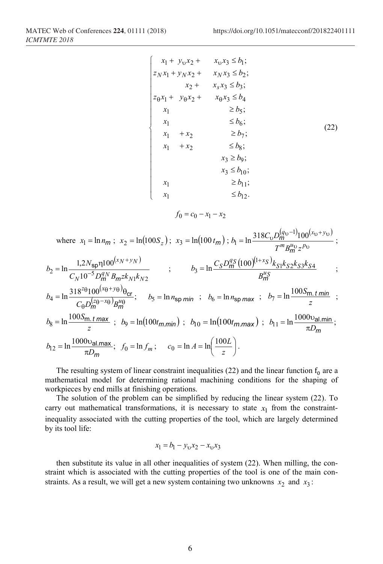$$
\begin{cases}\n x_1 + y_0 x_2 + x_0 x_3 \le b_1; \\
 z_1 x_1 + y_1 x_2 + x_1 x_3 \le b_2; \\
 x_2 + x_3 x_3 \le b_3; \\
 z_0 x_1 + y_0 x_2 + x_0 x_3 \le b_4 \\
 x_1 \ge b_5; \\
 x_1 \le b_6; \\
 x_1 + x_2 \ge b_7; \\
 x_1 + x_2 \le b_8; \\
 x_3 \ge b_9; \\
 x_3 \le b_{10}; \\
 x_1 \ge b_{11}; \\
 x_1 \le b_{12}.\n\end{cases}
$$
\n(22)

$$
f_0 = c_0 - x_1 - x_2
$$

where 
$$
x_1 = \ln n_m
$$
;  $x_2 = \ln(100S_z)$ ;  $x_3 = \ln(100 t_m)$ ;  $b_1 = \ln \frac{318C_v D_m^{(q_v-1)} 100^{(x_v+y_v)}}{T^m B_m^{u_v} z^{p_v}}$ ;  
\n $b_2 = \ln \frac{1,2N_{sp} \eta 100^{(x_N+y_N)}}{C_N 10^{-5} D_m^{q_N} B_m z k_{N1} k_{N2}}$ ;  
\n $b_3 = \ln \frac{C_S D_m^{q_S} (100)^{(1+x_S)} k_{S1} k_{S2} k_{S3} k_{S4}}{B_m^{u_S}}$ ;  
\n $b_4 = \ln \frac{318^{z_0} 100^{(x_0+y_0)} \theta_{cr}}{C_0 D_m^{(z_0-x_0)} B_m^{u_0}}$ ;  $b_5 = \ln n_{sp min}$ ;  $b_6 = \ln n_{sp max}$ ;  $b_7 = \ln \frac{100S_m \cdot t \cdot \min}{z}$ ;  
\n $b_8 = \ln \frac{100S_m \cdot t \cdot \max}{z}$ ;  $b_9 = \ln(100t_{m,min})$ ;  $b_{10} = \ln(100t_{m,max})$ ;  $b_{11} = \ln \frac{1000v_{al,min}}{\pi D_m}$ ;  
\n $b_{12} = \ln \frac{1000v_{al,max}}{\pi D_m}$ ;  $f_0 = \ln f_m$ ;  $c_0 = \ln A = \ln \left(\frac{100L}{z}\right)$ .

The resulting system of linear constraint inequalities (22) and the linear function  $f_0$  are a mathematical model for determining rational machining conditions for the shaping of workpieces by end mills at finishing operations.

The solution of the problem can be simplified by reducing the linear system (22). To carry out mathematical transformations, it is necessary to state  $x_1$  from the constraintinequality associated with the cutting properties of the tool, which are largely determined by its tool life:

$$
x_1 = b_1 - y_0 x_2 - x_0 x_3
$$

then substitute its value in all other inequalities of system (22). When milling, the constraint which is associated with the cutting properties of the tool is one of the main constraints. As a result, we will get a new system containing two unknowns  $x_2$  and  $x_3$ :